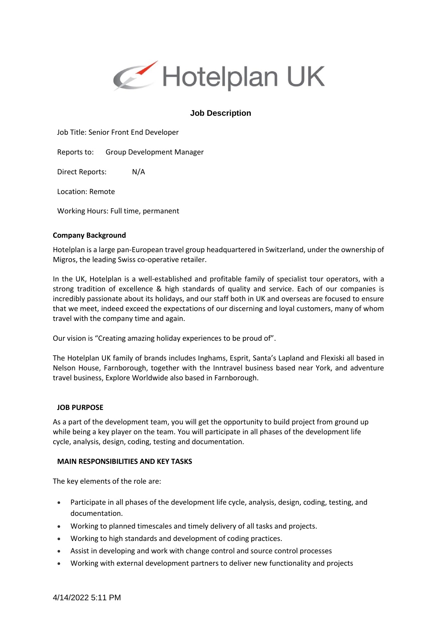

# **Job Description**

Job Title: Senior Front End Developer

Reports to: Group Development Manager

Direct Reports: N/A

Location: Remote

Working Hours: Full time, permanent

#### **Company Background**

Hotelplan is a large pan-European travel group headquartered in Switzerland, under the ownership of Migros, the leading Swiss co-operative retailer.

In the UK, Hotelplan is a well-established and profitable family of specialist tour operators, with a strong tradition of excellence & high standards of quality and service. Each of our companies is incredibly passionate about its holidays, and our staff both in UK and overseas are focused to ensure that we meet, indeed exceed the expectations of our discerning and loyal customers, many of whom travel with the company time and again.

Our vision is "Creating amazing holiday experiences to be proud of".

The Hotelplan UK family of brands includes Inghams, Esprit, Santa's Lapland and Flexiski all based in Nelson House, Farnborough, together with the Inntravel business based near York, and adventure travel business, Explore Worldwide also based in Farnborough.

#### **JOB PURPOSE**

As a part of the development team, you will get the opportunity to build project from ground up while being a key player on the team. You will participate in all phases of the development life cycle, analysis, design, coding, testing and documentation.

### **MAIN RESPONSIBILITIES AND KEY TASKS**

The key elements of the role are:

- Participate in all phases of the development life cycle, analysis, design, coding, testing, and documentation.
- Working to planned timescales and timely delivery of all tasks and projects.
- Working to high standards and development of coding practices.
- Assist in developing and work with change control and source control processes
- Working with external development partners to deliver new functionality and projects